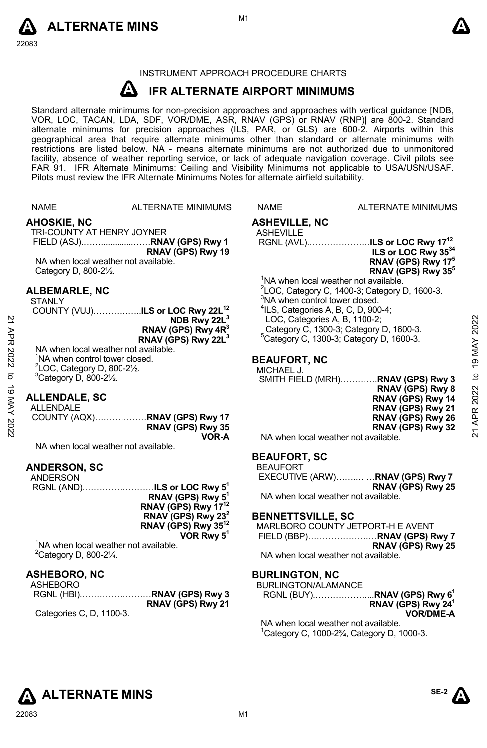



# INSTRUMENT APPROACH PROCEDURE CHARTS

#### **A IFR ALTERNATE AIRPORT MINIMUMS**

Standard alternate minimums for non-precision approaches and approaches with vertical guidance [NDB,<br>VOR, LOC, TACAN, LDA, SDF, VOR/DME, ASR, RNAV (GPS) or RNAV (RNP)] are 800-2. Standard<br>alternate minimums for precision a geographical area that require alternate minimums other than standard or alternate minimums with restrictions are listed below. NA - means alternate minimums are not authorized due to unmonitored facility, absence of weather reporting service, or lack of adequate navigation coverage. Civil pilots see FAR 91. IFR Alternate Minimums: Ceiling and Visibility Minimums not applicable to USA/USN/USAF. Pilots must review the IFR Alternate Minimums Notes for alternate airfield suitability.

|             | <b>NAME</b>                                       | <b>ALTERNATE MINIMUMS</b>                           | <b>NAME</b>                                                                                                 | ALTERNATE MINIMUMS                               |                |
|-------------|---------------------------------------------------|-----------------------------------------------------|-------------------------------------------------------------------------------------------------------------|--------------------------------------------------|----------------|
|             | <b>AHOSKIE, NC</b>                                |                                                     | <b>ASHEVILLE, NC</b>                                                                                        |                                                  |                |
|             | TRI-COUNTY AT HENRY JOYNER                        |                                                     | <b>ASHEVILLE</b>                                                                                            |                                                  |                |
|             |                                                   |                                                     |                                                                                                             | RGNL (AVL)ILS or LOC Rwy 17 <sup>12</sup>        |                |
|             |                                                   | RNAV (GPS) Rwy 19                                   |                                                                                                             | ILS or LOC Rwy 3534                              |                |
|             | NA when local weather not available.              |                                                     |                                                                                                             | RNAV (GPS) Rwy 17 <sup>5</sup>                   |                |
|             | Category D, 800-21/2.                             |                                                     |                                                                                                             | RNAV (GPS) Rwy 35 <sup>5</sup>                   |                |
|             |                                                   |                                                     | <sup>1</sup> NA when local weather not available.                                                           |                                                  |                |
|             | <b>ALBEMARLE, NC</b>                              |                                                     |                                                                                                             | $2$ LOC, Category C, 1400-3; Category D, 1600-3. |                |
|             | <b>STANLY</b>                                     |                                                     | <sup>3</sup> NA when control tower closed.                                                                  |                                                  |                |
|             |                                                   | COUNTY (VUJ) <b>ILS or LOC Rwy 22L<sup>12</sup></b> | $4$ ILS, Categories A, B, C, D, 900-4;                                                                      |                                                  |                |
|             |                                                   | NDB Rwy 22L <sup>3</sup>                            | LOC, Categories A, B, 1100-2;                                                                               |                                                  | 2022           |
|             |                                                   | RNAV (GPS) Rwy 4R <sup>3</sup>                      |                                                                                                             | Category C, 1300-3; Category D, 1600-3.          |                |
|             |                                                   | RNAV (GPS) Rwy 22L <sup>3</sup>                     |                                                                                                             | $5$ Category C, 1300-3; Category D, 1600-3.      |                |
| 21 APR 2022 | NA when local weather not available.              |                                                     |                                                                                                             |                                                  | <b>19 MAY</b>  |
|             | <sup>1</sup> NA when control tower closed.        |                                                     | <b>BEAUFORT, NC</b>                                                                                         |                                                  |                |
|             | $2$ LOC, Category D, 800-2 $\frac{1}{2}$ .        |                                                     | MICHAEL J.                                                                                                  |                                                  |                |
| ಠ           | $3$ Category D, 800-2 $\frac{1}{2}$ .             |                                                     |                                                                                                             | SMITH FIELD (MRH)RNAV (GPS) Rwy 3                | $\overline{a}$ |
| 19 MAY 2022 |                                                   |                                                     |                                                                                                             | RNAV (GPS) Rwy 8                                 | 2022           |
|             | <b>ALLENDALE, SC</b>                              |                                                     |                                                                                                             | RNAV (GPS) Rwy 14                                |                |
|             | <b>ALLENDALE</b>                                  |                                                     |                                                                                                             | RNAV (GPS) Rwy 21                                | APR:           |
|             |                                                   | RNAV (GPS) Rwy 35                                   |                                                                                                             | RNAV (GPS) Rwy 26                                |                |
|             |                                                   | VOR-A                                               | NA when local weather not available.                                                                        | RNAV (GPS) Rwy 32                                | $\overline{2}$ |
|             | NA when local weather not available.              |                                                     |                                                                                                             |                                                  |                |
|             |                                                   |                                                     | <b>BEAUFORT, SC</b>                                                                                         |                                                  |                |
|             | <b>ANDERSON, SC</b>                               |                                                     | <b>BEAUFORT</b>                                                                                             |                                                  |                |
|             | ANDERSON                                          |                                                     |                                                                                                             | EXECUTIVE (ARW)RNAV (GPS) Rwy 7                  |                |
|             |                                                   |                                                     |                                                                                                             | RNAV (GPS) Rwy 25                                |                |
|             |                                                   | RNAV (GPS) Rwy 5 <sup>1</sup>                       | NA when local weather not available.                                                                        |                                                  |                |
|             |                                                   | RNAV (GPS) Rwy 17 <sup>12</sup>                     |                                                                                                             |                                                  |                |
|             |                                                   | RNAV (GPS) Rwy $23^2$                               | <b>BENNETTSVILLE, SC</b>                                                                                    |                                                  |                |
|             |                                                   | RNAV (GPS) Rwy 35 <sup>12</sup>                     |                                                                                                             | MARLBORO COUNTY JETPORT-H E AVENT                |                |
|             |                                                   | VOR Rwy $5^1$                                       |                                                                                                             | FIELD (BBP)RNAV (GPS) Rwy 7                      |                |
|             | <sup>1</sup> NA when local weather not available. |                                                     |                                                                                                             | RNAV (GPS) Rwy 25                                |                |
|             | $2$ Category D, 800-2 $\frac{1}{4}$ .             |                                                     | NA when local weather not available.                                                                        |                                                  |                |
|             | <b>ASHEBORO, NC</b>                               |                                                     | <b>BURLINGTON, NC</b>                                                                                       |                                                  |                |
|             | <b>ASHEBORO</b>                                   |                                                     | BURLINGTON/ALAMANCE                                                                                         |                                                  |                |
|             |                                                   |                                                     |                                                                                                             | RGNL (BUY)RNAV (GPS) Rwy 6 <sup>1</sup>          |                |
|             |                                                   | RNAV (GPS) Rwy 21                                   |                                                                                                             | RNAV (GPS) Rwy 24 <sup>1</sup>                   |                |
|             | Categories C, D, 1100-3.                          |                                                     | $\mathbf{r}$ , and $\mathbf{r}$ , and $\mathbf{r}$ , and $\mathbf{r}$ , and $\mathbf{r}$ , and $\mathbf{r}$ | <b>VOR/DME-A</b>                                 |                |
|             |                                                   |                                                     |                                                                                                             |                                                  |                |

NA when local weather not available. 1 Category C, 1000-2¾, Category D, 1000-3.

# **ALTERNATE MINS**

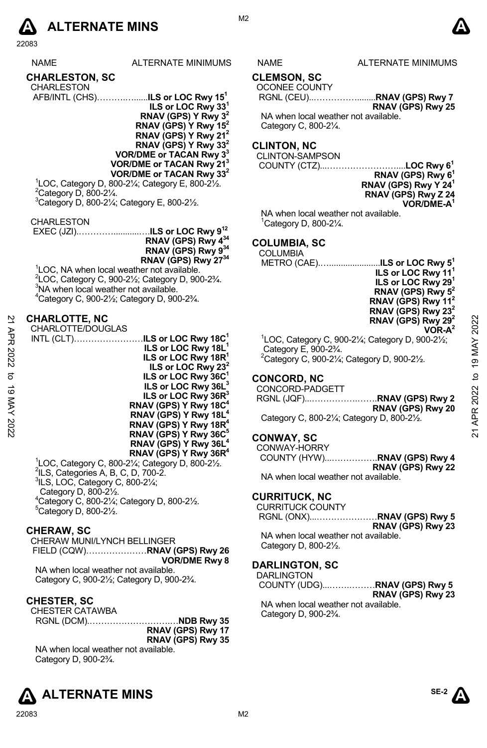

# **CHARLESTON, SC**

| <b>CHARLESTON</b>                            |  |  |
|----------------------------------------------|--|--|
| AFB/INTL (CHS)ILS or LOC Rwy 15 <sup>1</sup> |  |  |
|                                              |  |  |

**ILS or LOC Rwy 331 RNAV (GPS) Y Rwy 32 RNAV (GPS) Y Rwy 152 RNAV (GPS) Y Rwy 212 RNAV (GPS) Y Rwy 332 VOR/DME or TACAN Rwy 33 VOR/DME or TACAN Rwy 213 VOR/DME or TACAN Rwy 332**

 $^{1}$ LOC, Category D, 800-2¼; Category E, 800-2½.<br><sup>2</sup>Category D, 800-21⁄ <sup>2</sup>Category D, 800-21/4. 3 Category D, 800-2¼; Category E, 800-2½.

CHARLESTON

 EXEC (JZI).…………...........….**ILS or LOC Rwy 912 RNAV (GPS) Rwy 434 RNAV (GPS) Rwy 934 RNAV (GPS) Rwy 2734** 

<sup>1</sup>LOC, NA when local weather not available.  $2^2$ LOC, Category C, 900-2½; Category D, 900-2¾.  $3$ NA when local weather not available. 4 Category C, 900-2½; Category D, 900-2¾.

# **CHARLOTTE, NC**

CHARLOTTE/DOUGLAS INTL (CLT)……………………**ILS or LOC Rwy 18C1 ILS or LOC Rwy 18L1 ILS or LOC Rwy 18R<sup>1</sup> ILS or LOC Rwy 232 ILS or LOC Rwy 36C1 ILS or LOC Rwy 36L3 ILS or LOC Rwy 36R3 RNAV (GPS) Y Rwy 18C4 RNAV (GPS) Y Rwy 18L RNAV (GPS) Y Rwy 18R4 RNAV (GPS) Y Rwy 36C5 RNAV (GPS) Y Rwy 36L4 RNAV (GPS) Y Rwy 36R4**  21 APR 2022 to 19 MAY 202221 APR 2022 to 19 MAY 2022

<sup>1</sup>LOC, Category C, 800-2¼; Category D, 800-2½.<br><sup>2</sup>ILS, Categories A, B, C, D, 700-2.<br><sup>3</sup>ILS, LOC, Cetegory C, 800, 21⁄.  $3$ ILS, LOC, Category C, 800-2 $\frac{1}{4}$ ; Category D, 800-2½. 4 Category C, 800-2¼; Category D, 800-2½.  $5$ Category D, 800-2 $\frac{1}{2}$ .

#### **CHERAW, SC**

CHERAW MUNI/LYNCH BELLINGER FIELD (CQW)…………………**RNAV (GPS) Rwy 26 VOR/DME Rwy 8** 

NA when local weather not available. Category C, 900-2½; Category D, 900-2¾.

# **CHESTER, SC**

CHESTER CATAWBA

RGNL (DCM).……………………….…**NDB Rwy 35 RNAV (GPS) Rwy 17 RNAV (GPS) Rwy 35** NA when local weather not available. Category D, 900-2¾.





# ALTERNATE MINIMUMS NAME ALTERNATE MINIMUMS

**CLEMSON, SC** 

OCONEE COUNTY

 RGNL (CEU)..……………........**RNAV (GPS) Rwy 7 RNAV (GPS) Rwy 25**

NA when local weather not available. Category C, 800-2¼.

# **CLINTON, NC**

CLINTON-SAMPSON

COUNTY (CTZ)...……………………....**LOC Rwy 61** 

**RNAV (GPS) Rwy 61 RNAV (GPS) Rwy Y 241 RNAV (GPS) Rwy Z 24 VOR/DME-A1** 

NA when local weather not available. 1 Category D, 800-2¼.

# **COLUMBIA, SC**

 COLUMBIA METRO (CAE).…......................**ILS or LOC Rwy 51**

**ILS or LOC Rwy 111 ILS or LOC Rwy 291 RNAV (GPS) Rwy 52 RNAV (GPS) Rwy 112 RNAV (GPS) Rwy 232 RNAV (GPS) Rwy 292 VOR-A2**  1 LOC, Category C, 900-2¼; Category D, 900-2½; Category E, 900-2¾.  $^{2}$ Category C, 900-21⁄<sub>4</sub>; Category D, 900-21⁄<sub>2</sub>.

**CONCORD, NC** 

CONCORD-PADGETT RGNL (JQF)...…………….…….**RNAV (GPS) Rwy 2 RNAV (GPS) Rwy 20**  Category C, 800-2¼; Category D, 800-2½.

# **CONWAY, SC**

CONWAY-HORRY COUNTY (HYW)...…………….**RNAV (GPS) Rwy 4 RNAV (GPS) Rwy 22** 

NA when local weather not available.

#### **CURRITUCK, NC**

CURRITUCK COUNTY RGNL (ONX)...…………………**RNAV (GPS) Rwy 5** 

**RNAV (GPS) Rwy 23**  NA when local weather not available.

Category D, 800-2½.

# **DARLINGTON, SC**

DARLINGTON COUNTY (UDG)...…….………**RNAV (GPS) Rwy 5 RNAV (GPS) Rwy 23**  NA when local weather not available. Category D, 900-2¾.



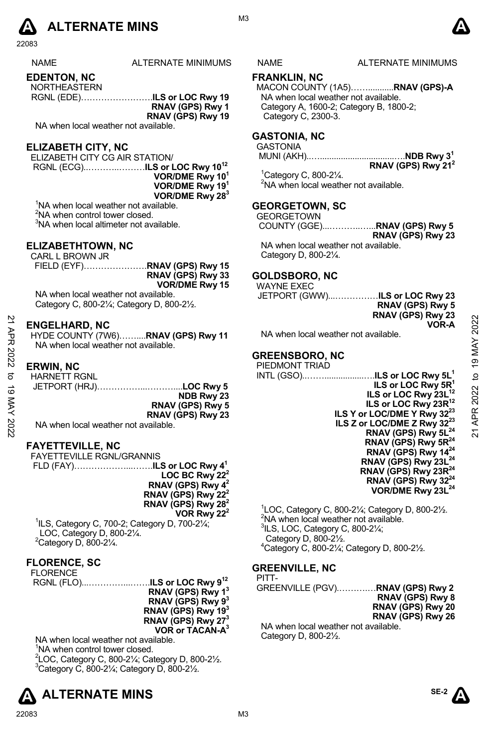

| <b>NAME</b> | ALTERNATE MINIMUMS |
|-------------|--------------------|
|             |                    |

**EDENTON, NC** 

| <b>NORTHEASTERN</b> |                   |
|---------------------|-------------------|
|                     |                   |
|                     | RNAV (GPS) Rwy 1  |
|                     | RNAV (GPS) Rwy 19 |

NA when local weather not available.

# **ELIZABETH CITY, NC**

ELIZABETH CITY CG AIR STATION/ RGNL (ECG)..………..………**ILS or LOC Rwy 1012 VOR/DME Rwy 101 VOR/DME Rwy 191 VOR/DME Rwy 283**

<sup>1</sup>NA when local weather not available.

<sup>2</sup>NA when control tower closed.

<sup>3</sup>NA when local altimeter not available.

#### **ELIZABETHTOWN, NC**

CARL L BROWN JR

FIELD (EYF)………………….**RNAV (GPS) Rwy 15 RNAV (GPS) Rwy 33 VOR/DME Rwy 15** 

NA when local weather not available. Category C, 800-2¼; Category D, 800-2½.

#### **ENGELHARD, NC**

HYDE COUNTY (7W6)……....**RNAV (GPS) Rwy 11** NA when local weather not available.

# **ERWIN, NC**

|                        |  |  | <b>HARNETT RGNL</b> |
|------------------------|--|--|---------------------|
| JETPORT (HRJ)LOC Rwy 5 |  |  |                     |
| NDB Rwy 23             |  |  |                     |
| RNAV (GPS) Rwy 5       |  |  |                     |
| RNAV (GPS) Rwy 23      |  |  |                     |
|                        |  |  |                     |

NA when local weather not available.

# **FAYETTEVILLE, NC**

| FAYETTEVILLE RGNL/GRANNIS      |  |
|--------------------------------|--|
|                                |  |
| LOC BC Rwy $22^2$              |  |
| RNAV (GPS) Rwy $4^2$           |  |
| RNAV (GPS) Rwy 22 <sup>2</sup> |  |
| RNAV (GPS) Rwy $28^2$          |  |
| VOR Rwy 22 <sup>2</sup>        |  |

1 ILS, Category C, 700-2; Category D, 700-2¼; LOC, Category D, 800-2¼.  $2$ Category D, 800-2 $\frac{1}{4}$ .

# **FLORENCE, SC**

NA when local weather not available. <sup>1</sup>NA when control tower closed. <sup>2</sup>LOC, Category C, 800-2¼; Category D, 800-2½.<br><sup>3</sup>Category C, 800, 21/: Category D, 800, 21/  $3$ Category C, 800-2 $\frac{1}{4}$ ; Category D, 800-2 $\frac{1}{2}$ .





# **FRANKLIN, NC**

MACON COUNTY (1A5)……...........**RNAV (GPS)-A**  NA when local weather not available. Category A, 1600-2; Category B, 1800-2; Category C, 2300-3.

# **GASTONIA, NC**

**GASTONIA** 

 MUNI (AKH)..…................................….**NDB Rwy 31 RNAV (GPS) Rwy 212** 

1 Category C, 800-2¼. <sup>2</sup>NA when local weather not available.

# **GEORGETOWN, SC**

**GEORGETOWN**  COUNTY (GGE)...………..…...**RNAV (GPS) Rwy 5 RNAV (GPS) Rwy 23**  NA when local weather not available. Category D, 800-2¼.

# **GOLDSBORO, NC**

WAYNE EXEC **JETPORT (GWW)......** 

| ILS or LOC Rwy 23 |
|-------------------|
| RNAV (GPS) Rwy 5  |
| RNAV (GPS) Rwy 23 |
| VOR-A             |
|                   |

NA when local weather not available.

# **GREENSBORO, NC**

PIEDMONT TRIAD INTL (GSO)..…….................….**ILS or LOC Rwy 5L1 ILS or LOC Rwy 5R1 ILS or LOC Rwy 23L<sup>12</sup> ILS or LOC Rwy 23R12 ILS Y or LOC/DME Y Rwy 3223 ILS Z or LOC/DME Z Rwy 3223 RNAV (GPS) Rwy 5L<sup>24</sup> RNAV (GPS) Rwy 5R24 RNAV (GPS) Rwy 1424 RNAV (GPS) Rwy 23L24 RNAV (GPS) Rwy 23R24 RNAV (GPS) Rwy 3224 VOR/DME Rwy 23L24 ENGELHARD, NC**<br>  $\frac{22}{20}$ <br>
ERWIN, NC<br>  $\frac{23}{20}$ <br>
ERWIN, NC<br>  $\frac{24}{20}$ <br>  $\frac{25}{20}$ <br>
Alternational weather not available.<br> **ERWIN, NC**<br>  $\frac{25}{20}$ <br>  $\frac{25}{20}$ <br>  $\frac{25}{20}$ <br>  $\frac{25}{20}$ <br>  $\frac{25}{20}$ <br>  $\frac{25}{20}$ <br>
M

> $1$ LOC, Category C, 800-21⁄<sub>4</sub>; Category D, 800-21⁄<sub>2</sub>. <sup>2</sup>NA when local weather not available.  $3$ ILS, LOC, Category C, 800-2 $\frac{1}{4}$ ; Category D, 800-2½. 4 Category C, 800-2¼; Category D, 800-2½.

# **GREENVILLE, NC**

PITT-GREENVILLE (PGV).……….…**RNAV (GPS) Rwy 2 RNAV (GPS) Rwy 8 RNAV (GPS) Rwy 20 RNAV (GPS) Rwy 26** 

NA when local weather not available. Category D, 800-2½.

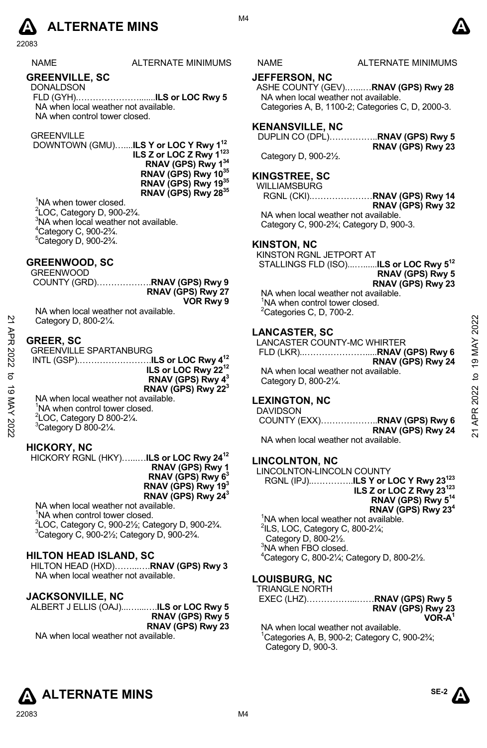

NAME ALTERNATE MINIMUMS NAME ALTERNATE MINIMUMS

# **GREENVILLE, SC**

DONALDSON FLD (GYH).………………….......**ILS or LOC Rwy 5**  NA when local weather not available. NA when control tower closed.

#### **GREENVILLE**

 DOWNTOWN (GMU)…....**ILS Y or LOC Y Rwy 112 ILS Z or LOC Z Rwy 1123 RNAV (GPS) Rwy 134 RNAV (GPS) Rwy 1035 RNAV (GPS) Rwy 1935 RNAV (GPS) Rwy 2835** 

<sup>1</sup>NA when tower closed. 2 LOC, Category D, 900-2¾. <sup>3</sup>NA when local weather not available.  $^{4}$ Category C, 900-2 $\frac{3}{4}$ .  $5$ Category D, 900-2 $\frac{3}{4}$ .

# **GREENWOOD, SC**

|                   |  |  | GREENWOOD |
|-------------------|--|--|-----------|
|                   |  |  |           |
| RNAV (GPS) Rwy 27 |  |  |           |
| VOR Rwy 9         |  |  |           |
|                   |  |  | .         |

NA when local weather not available. Category D, 800-2¼.

# **GREER, SC**

| 2        | Category D, 800-21/4.                        |                                      | 2022          |
|----------|----------------------------------------------|--------------------------------------|---------------|
| ЯPR      |                                              | <b>LANCASTER, SC</b>                 |               |
|          | <b>GREER, SC</b>                             | LANCASTER COUNTY-MC WHIRTER          |               |
|          | <b>GREENVILLE SPARTANBURG</b>                |                                      | MAY           |
| 2022     |                                              | RNAV (GPS) Rwy 24                    | 19            |
|          | ILS or LOC Rwy 22 <sup>12</sup>              | NA when local weather not available. |               |
|          | RNAV (GPS) Rwy 4 <sup>3</sup>                | Category D, 800-21/4.                | ೆ             |
| ಠ        | RNAV (GPS) Rwy 22 <sup>3</sup>               |                                      |               |
|          | NA when local weather not available.         | <b>LEXINGTON, NC</b>                 | 2022          |
|          | <sup>1</sup> NA when control tower closed.   | <b>DAVIDSON</b>                      |               |
|          | $^{2}$ LOC, Category D 800-2 $\frac{1}{4}$ . |                                      | <b>APR</b>    |
|          |                                              |                                      |               |
| MAY 2022 | <sup>3</sup> Category D 800-21/4.            | RNAV (GPS) Rwy 24                    | $\frac{1}{2}$ |
|          |                                              |                                      |               |

# **HICKORY, NC**

HICKORY RGNL (HKY)…...…**ILS or LOC Rwy 2412 RNAV (GPS) Rwy 1 RNAV (GPS) Rwy 63 RNAV (GPS) Rwy 193 RNAV (GPS) Rwy 243**  NA when local weather not available.

<sup>1</sup>NA when control tower closed. <sup>2</sup> LOC, Category C, 900-2<sup>1</sup>/<sub>2</sub>; Category D, 900-2<sup>3</sup>/<sub>4</sub>.<br><sup>3</sup> Category C, 900, 31/; Category D, 900, 3<sup>3</sup>/  $3$ Category C, 900-2 $\frac{1}{2}$ ; Category D, 900-2 $\frac{1}{2}$ .

**HILTON HEAD ISLAND, SC**  HILTON HEAD (HXD)……...….**RNAV (GPS) Rwy 3**  NA when local weather not available.

# **JACKSONVILLE, NC**

| ALBERT J ELLIS (OAJ) <b>ILS or LOC Rwy 5</b> |                         |
|----------------------------------------------|-------------------------|
|                                              | <b>RNAV (GPS) Rwy 5</b> |
|                                              | RNAV (GPS) Rwy 23       |
| NA when local weather not available.         |                         |

NA when local weather not available.

# **JEFFERSON, NC**

ASHE COUNTY (GEV).…...…**RNAV (GPS) Rwy 28**  NA when local weather not available. Categories A, B, 1100-2; Categories C, D, 2000-3.

# **KENANSVILLE, NC**

DUPLIN CO (DPL)……………..**RNAV (GPS) Rwy 5** 

Category D, 900-2½.

# **KINGSTREE, SC**

WILLIAMSBURG

RGNL (CKI).…………………**RNAV (GPS) Rwy 14 RNAV (GPS) Rwy 32**  NA when local weather not available.

Category C, 900-2¾; Category D, 900-3.

#### **KINSTON, NC**

KINSTON RGNL JETPORT AT STALLINGS FLD (ISO)...…......**ILS or LOC Rwy 512**

**RNAV (GPS) Rwy 5 RNAV (GPS) Rwy 23** 

**RNAV (GPS) Rwy 23** 

NA when local weather not available. <sup>1</sup>NA when control tower closed.  ${}^{2}$ Categories C, D, 700-2.

# **LANCASTER, SC**

# **LEXINGTON, NC**

COUNTY (EXX)………………..**RNAV (GPS) Rwy 6 RNAV (GPS) Rwy 24**  NA when local weather not available.

#### **LINCOLNTON, NC**

LINCOLNTON-LINCOLN COUNTY RGNL (IPJ)..…………..**ILS Y or LOC Y Rwy 23123 ILS Z or LOC Z Rwy 23123 RNAV (GPS) Rwy 514 RNAV (GPS) Rwy 234** 

<sup>1</sup>NA when local weather not available.  $2$ ILS, LOC, Category C, 800-2 $\frac{1}{4}$ ; Category D, 800-2½. <sup>3</sup>NA when FBO closed. 4 Category C, 800-2¼; Category D, 800-2½.

#### **LOUISBURG, NC**  TRIANGLE NORTH

| TINAINOLL INVINTIT |                   |
|--------------------|-------------------|
|                    |                   |
|                    | RNAV (GPS) Rwy 23 |
|                    | $VOR-A1$          |

NA when local weather not available.  $1$ Categories A, B, 900-2; Category C, 900-2 $\frac{3}{4}$ ; Category D, 900-3.



**SE-2** 

M4

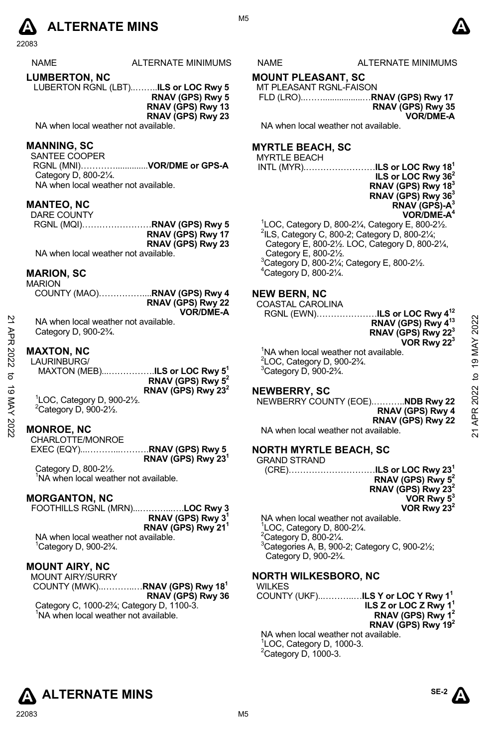

| <b>NAME</b>   | ALTERNATE MINIMUMS |
|---------------|--------------------|
| LUMBERTON, NC |                    |

LUBERTON RGNL (LBT)..……..**ILS or LOC Rwy 5** 

**RNAV (GPS) Rwy 5 RNAV (GPS) Rwy 13 RNAV (GPS) Rwy 23** 

NA when local weather not available.

# **MANNING, SC**

SANTEE COOPER RGNL (MNI)…………..............**VOR/DME or GPS-A** 

Category D, 800-2¼. NA when local weather not available.

# **MANTEO, NC**

| DARE COUNTY                          |                   |
|--------------------------------------|-------------------|
|                                      |                   |
|                                      | RNAV (GPS) Rwy 17 |
|                                      | RNAV (GPS) Rwy 23 |
| NA when local weather not available. |                   |

# **MARION, SC**

MARION

| RNAV (GPS) Rwy 22 |
|-------------------|
| <b>VOR/DME-A</b>  |

NA when local weather not available. Category D, 900-2¾.

#### **MAXTON, NC**

LAURINBURG/ MAXTON (MEB)...…………….**ILS or LOC Rwy 51 RNAV (GPS) Rwy 52 RNAV (GPS) Rwy 232**  1 LOC, Category D, 900-2½. 21 APR 2022 to 19 MAY 202221 APR 2022 to 19 MAY 2022

 $2$ Category D, 900-2 $\frac{1}{2}$ .

# **MONROE, NC**

CHARLOTTE/MONROE EXEC (EQY)...………...……….**RNAV (GPS) Rwy 5 RNAV (GPS) Rwy 231**

Category D, 800-2½. <sup>1</sup>NA when local weather not available.

#### **MORGANTON, NC**

FOOTHILLS RGNL (MRN)...………...….**LOC Rwy 3 RNAV (GPS) Rwy 31 RNAV (GPS) Rwy 211** 

NA when local weather not available. 1 Category D, 900-2¾.

# **MOUNT AIRY, NC**

MOUNT AIRY/SURRY COUNTY (MWK)..………..…**RNAV (GPS) Rwy 181 RNAV (GPS) Rwy 36**  Category C, 1000-2¾; Category D, 1100-3. <sup>1</sup>NA when local weather not available.

# NAME ALTERNATE MINIMUMS

# **MOUNT PLEASANT, SC**

MT PLEASANT RGNL-FAISON FLD (LRO)..…….................…**RNAV (GPS) Rwy 17 RNAV (GPS) Rwy 35** 

**VOR/DME-A** 

NA when local weather not available.

# **MYRTLE BEACH, SC**

# MYRTLE BEACH

INTL (MYR).……………………**ILS or LOC Rwy 181** 

**ILS or LOC Rwy 362 RNAV (GPS) Rwy 183 RNAV (GPS) Rwy 363 RNAV (GPS)-A3 VOR/DME-A4**  <sup>1</sup>LOC, Category D, 800-2¼, Category E, 800-2½.<br><sup>2</sup>ll S. Category C. 800-2: Category D, 800-21/:  $2$ ILS, Category C, 800-2; Category D, 800-2 $\frac{1}{4}$ ; Category E, 800-2½. LOC, Category D, 800-2¼, Category E, 800-2½. 3 Category D, 800-2¼; Category E, 800-2½.  $4$ Category D, 800-2 $\frac{1}{4}$ .

# **NEW BERN, NC**

COASTAL CAROLINA

RGNL (EWN)…………………**ILS or LOC Rwy 412** 

**RNAV (GPS) Rwy 413 RNAV (GPS) Rwy 223 VOR Rwy 223** 

<sup>1</sup>NA when local weather not available.  $2^2$ LOC, Category D, 900-2 $\frac{3}{4}$ .  $3$ Category D, 900-2 $\frac{3}{4}$ .

#### **NEWBERRY, SC**

NEWBERRY COUNTY (EOE).………..**NDB Rwy 22 RNAV (GPS) Rwy 4 RNAV (GPS) Rwy 22**  NA when local weather not available.

# **NORTH MYRTLE BEACH, SC**

| <b>GRAND STRAND</b>                  |                                |
|--------------------------------------|--------------------------------|
|                                      |                                |
|                                      | RNAV (GPS) Rwy 5 <sup>2</sup>  |
|                                      | RNAV (GPS) Rwy 23 <sup>2</sup> |
|                                      | VOR Rwy $5^3$                  |
|                                      | VOR Rwy $23^2$                 |
| NA when local weather not available. |                                |

 LOC, Category D, 800-2¼. Category D, 800-2 $\frac{1}{4}$ . Categories A, B, 900-2; Category C, 900-2½; Category D, 900-2¾.

# **NORTH WILKESBORO, NC**

WILKES COUNTY (UKF)..………..…**ILS Y or LOC Y Rwy 11 ILS Z or LOC Z Rwy 11 RNAV (GPS) Rwy 12 RNAV (GPS) Rwy 192**  NA when local weather not available. 1 LOC, Category D, 1000-3.  $2$ Category D, 1000-3.

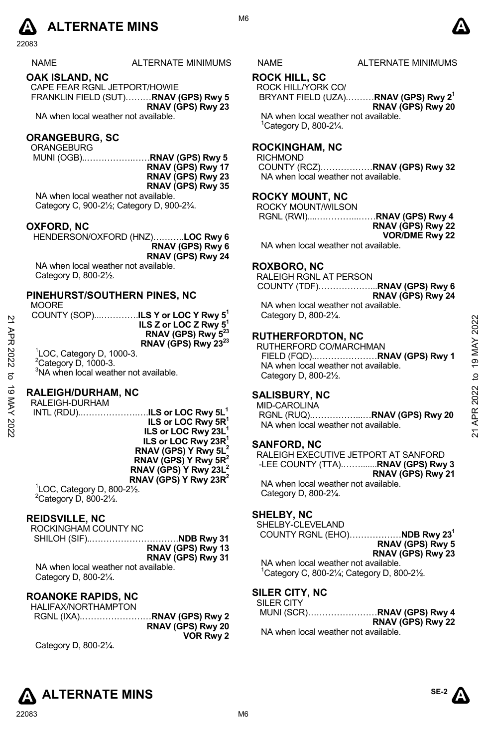

# NAME ALTERNATE MINIMUMS NAME ALTERNATE MINIMUMS

#### **OAK ISLAND, NC**

CAPE FEAR RGNL JETPORT/HOWIE FRANKLIN FIELD (SUT)………**RNAV (GPS) Rwy 5 RNAV (GPS) Rwy 23** 

NA when local weather not available.

#### **ORANGEBURG, SC**

ORANGEBURG

 MUNI (OGB)..…………….……**RNAV (GPS) Rwy 5 RNAV (GPS) Rwy 17 RNAV (GPS) Rwy 23 RNAV (GPS) Rwy 35** 

NA when local weather not available. Category C, 900-2½; Category D, 900-2¾.

#### **OXFORD, NC**

HENDERSON/OXFORD (HNZ)………..**LOC Rwy 6 RNAV (GPS) Rwy 6 RNAV (GPS) Rwy 24**

NA when local weather not available. Category D, 800-2½.

#### **PINEHURST/SOUTHERN PINES, NC**

**MOORE** 

| 2                | $1$ $1$ $1$ $1$ $1$ $1$ $1$ $1$<br>COUNTY (SOP) <b>ILS Y or LOC Y Rwy 5<sup>1</sup></b><br>ILS Z or LOC Z Rwy 5 <sup>1</sup>                                                               | Category D, 800-21/4.<br><b>RUTHERFORDTON, NC</b>                                                                  | 2022             |
|------------------|--------------------------------------------------------------------------------------------------------------------------------------------------------------------------------------------|--------------------------------------------------------------------------------------------------------------------|------------------|
| 2022<br>ನ        | RNAV (GPS) Rwy 5 <sup>23</sup><br>RNAV (GPS) Rwy 23 <sup>23</sup><br><sup>1</sup> LOC, Category D, 1000-3.<br>$2$ Category D, 1000-3.<br><sup>3</sup> NA when local weather not available. | RUTHERFORD CO/MARCHMAN<br>NA when local weather not available.<br>Category D, 800-21/2.                            | 19 MAY<br>₫      |
| ಠ<br>XAN<br>2022 | <b>RALEIGH/DURHAM, NC</b><br>RALEIGH-DURHAM<br>INTL (RDU)ILS or LOC Rwy 5L <sup>1</sup><br>ILS or LOC Rwy 5R <sup>1</sup><br>ILS or LOC Rwy 23L <sup>1</sup>                               | <b>SALISBURY, NC</b><br><b>MID-CAROLINA</b><br>RGNL (RUQ)RNAV (GPS) Rwy 20<br>NA when local weather not available. | 2022<br>ĄPR<br>ম |

#### **RALEIGH/DURHAM, NC**

RALEIGH-DURHAM INTL (RDU)..……………….….**ILS or LOC Rwy 5L1 ILS or LOC Rwy 5R1 ILS or LOC Rwy 23L1 ILS or LOC Rwy 23R1 RNAV (GPS) Y Rwy 5L2 RNAV (GPS) Y Rwy 5R2 RNAV (GPS) Y Rwy 23L2 RNAV (GPS) Y Rwy 23R2** 

1 LOC, Category D, 800-2½.  $2$ Category D, 800-2 $\frac{1}{2}$ .

#### **REIDSVILLE, NC**

ROCKINGHAM COUNTY NC SHILOH (SIF)..…………………………**NDB Rwy 31 RNAV (GPS) Rwy 13 RNAV (GPS) Rwy 31**  NA when local weather not available.

Category D, 800-2¼.

# **ROANOKE RAPIDS, NC**

HALIFAX/NORTHAMPTON RGNL (IXA).……………………**RNAV (GPS) Rwy 2 RNAV (GPS) Rwy 20 VOR Rwy 2**  Category D, 800-2¼.

# **ROCK HILL, SC**

#### ROCK HILL/YORK CO/

BRYANT FIELD (UZA).………**RNAV (GPS) Rwy 21 RNAV (GPS) Rwy 20** 

NA when local weather not available. 1 Category D, 800-2¼.

# **ROCKINGHAM, NC**

RICHMOND

COUNTY (RCZ)………………**RNAV (GPS) Rwy 32**  NA when local weather not available.

#### **ROCKY MOUNT, NC**

ROCKY MOUNT/WILSON RGNL (RWI)....…………...……**RNAV (GPS) Rwy 4 RNAV (GPS) Rwy 22 VOR/DME Rwy 22**  NA when local weather not available.

#### **ROXBORO, NC**

RALEIGH RGNL AT PERSON COUNTY (TDF)………………...**RNAV (GPS) Rwy 6 RNAV (GPS) Rwy 24**  NA when local weather not available. Category D, 800-2¼.

#### **RUTHERFORDTON, NC**

#### **SALISBURY, NC**

#### **SANFORD, NC**

RALEIGH EXECUTIVE JETPORT AT SANFORD -LEE COUNTY (TTA).…….......**RNAV (GPS) Rwy 3 RNAV (GPS) Rwy 21** NA when local weather not available. Category D, 800-2¼.

#### **SHELBY, NC**

SHELBY-CLEVELAND COUNTY RGNL (EHO)………………**NDB Rwy 231**

**RNAV (GPS) Rwy 5 RNAV (GPS) Rwy 23** 

NA when local weather not available.  $1$ Category C, 800-2 $\frac{1}{4}$ ; Category D, 800-2 $\frac{1}{2}$ .

# **SILER CITY, NC**

| SILER CITY |                            |
|------------|----------------------------|
|            | MUNI (SCR)RNAV (GPS) Rwy 4 |
|            | RNAV (GPS) Rwy 22          |

NA when local weather not available.